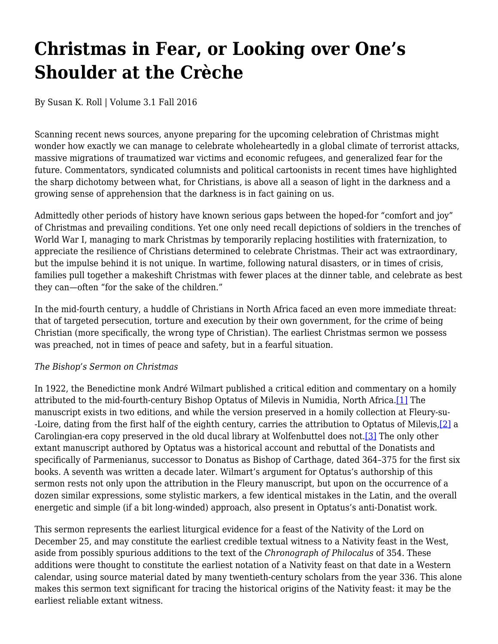## **Christmas in Fear, or Looking over One's Shoulder at the Crèche**

By Susan K. Roll | Volume 3.1 Fall 2016

Scanning recent news sources, anyone preparing for the upcoming celebration of Christmas might wonder how exactly we can manage to celebrate wholeheartedly in a global climate of terrorist attacks, massive migrations of traumatized war victims and economic refugees, and generalized fear for the future. Commentators, syndicated columnists and political cartoonists in recent times have highlighted the sharp dichotomy between what, for Christians, is above all a season of light in the darkness and a growing sense of apprehension that the darkness is in fact gaining on us.

Admittedly other periods of history have known serious gaps between the hoped-for "comfort and joy" of Christmas and prevailing conditions. Yet one only need recall depictions of soldiers in the trenches of World War I, managing to mark Christmas by temporarily replacing hostilities with fraternization, to appreciate the resilience of Christians determined to celebrate Christmas. Their act was extraordinary, but the impulse behind it is not unique. In wartime, following natural disasters, or in times of crisis, families pull together a makeshift Christmas with fewer places at the dinner table, and celebrate as best they can—often "for the sake of the children."

In the mid-fourth century, a huddle of Christians in North Africa faced an even more immediate threat: that of targeted persecution, torture and execution by their own government, for the crime of being Christian (more specifically, the wrong type of Christian). The earliest Christmas sermon we possess was preached, not in times of peace and safety, but in a fearful situation.

## *The Bishop's Sermon on Christmas*

In 1922, the Benedictine monk André Wilmart published a critical edition and commentary on a homily attributed to the mid-fourth-century Bishop Optatus of Milevis in Numidia, North Africa.[1] The manuscript exists in two editions, and while the version preserved in a homily collection at Fleury-su- -Loire, dating from the first half of the eighth century, carries the attribution to Optatus of Milevis,[2] a Carolingian-era copy preserved in the old ducal library at Wolfenbuttel does not.[3] The only other extant manuscript authored by Optatus was a historical account and rebuttal of the Donatists and specifically of Parmenianus, successor to Donatus as Bishop of Carthage, dated 364–375 for the first six books. A seventh was written a decade later. Wilmart's argument for Optatus's authorship of this sermon rests not only upon the attribution in the Fleury manuscript, but upon on the occurrence of a dozen similar expressions, some stylistic markers, a few identical mistakes in the Latin, and the overall energetic and simple (if a bit long-winded) approach, also present in Optatus's anti-Donatist work.

This sermon represents the earliest liturgical evidence for a feast of the Nativity of the Lord on December 25, and may constitute the earliest credible textual witness to a Nativity feast in the West, aside from possibly spurious additions to the text of the *Chronograph of Philocalus* of 354. These additions were thought to constitute the earliest notation of a Nativity feast on that date in a Western calendar, using source material dated by many twentieth-century scholars from the year 336. This alone makes this sermon text significant for tracing the historical origins of the Nativity feast: it may be the earliest reliable extant witness.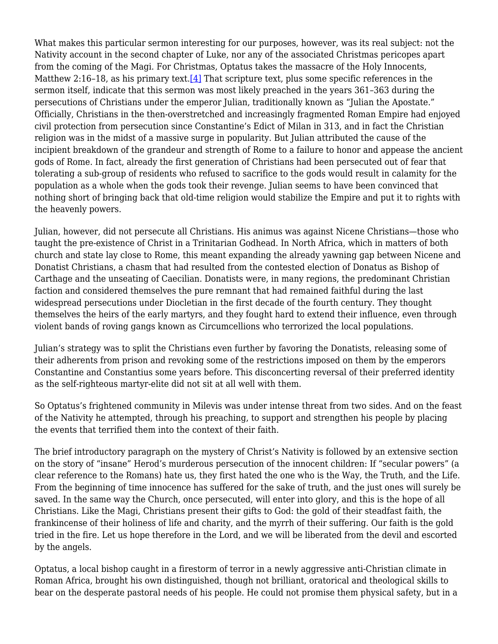What makes this particular sermon interesting for our purposes, however, was its real subject: not the Nativity account in the second chapter of Luke, nor any of the associated Christmas pericopes apart from the coming of the Magi. For Christmas, Optatus takes the massacre of the Holy Innocents, Matthew 2:16-18, as his primary text.<sup>[4]</sup> That scripture text, plus some specific references in the sermon itself, indicate that this sermon was most likely preached in the years 361–363 during the persecutions of Christians under the emperor Julian, traditionally known as "Julian the Apostate." Officially, Christians in the then-overstretched and increasingly fragmented Roman Empire had enjoyed civil protection from persecution since Constantine's Edict of Milan in 313, and in fact the Christian religion was in the midst of a massive surge in popularity. But Julian attributed the cause of the incipient breakdown of the grandeur and strength of Rome to a failure to honor and appease the ancient gods of Rome. In fact, already the first generation of Christians had been persecuted out of fear that tolerating a sub-group of residents who refused to sacrifice to the gods would result in calamity for the population as a whole when the gods took their revenge. Julian seems to have been convinced that nothing short of bringing back that old-time religion would stabilize the Empire and put it to rights with the heavenly powers.

Julian, however, did not persecute all Christians. His animus was against Nicene Christians—those who taught the pre-existence of Christ in a Trinitarian Godhead. In North Africa, which in matters of both church and state lay close to Rome, this meant expanding the already yawning gap between Nicene and Donatist Christians, a chasm that had resulted from the contested election of Donatus as Bishop of Carthage and the unseating of Caecilian. Donatists were, in many regions, the predominant Christian faction and considered themselves the pure remnant that had remained faithful during the last widespread persecutions under Diocletian in the first decade of the fourth century. They thought themselves the heirs of the early martyrs, and they fought hard to extend their influence, even through violent bands of roving gangs known as Circumcellions who terrorized the local populations.

Julian's strategy was to split the Christians even further by favoring the Donatists, releasing some of their adherents from prison and revoking some of the restrictions imposed on them by the emperors Constantine and Constantius some years before. This disconcerting reversal of their preferred identity as the self-righteous martyr-elite did not sit at all well with them.

So Optatus's frightened community in Milevis was under intense threat from two sides. And on the feast of the Nativity he attempted, through his preaching, to support and strengthen his people by placing the events that terrified them into the context of their faith.

The brief introductory paragraph on the mystery of Christ's Nativity is followed by an extensive section on the story of "insane" Herod's murderous persecution of the innocent children: If "secular powers" (a clear reference to the Romans) hate us, they first hated the one who is the Way, the Truth, and the Life. From the beginning of time innocence has suffered for the sake of truth, and the just ones will surely be saved. In the same way the Church, once persecuted, will enter into glory, and this is the hope of all Christians. Like the Magi, Christians present their gifts to God: the gold of their steadfast faith, the frankincense of their holiness of life and charity, and the myrrh of their suffering. Our faith is the gold tried in the fire. Let us hope therefore in the Lord, and we will be liberated from the devil and escorted by the angels.

Optatus, a local bishop caught in a firestorm of terror in a newly aggressive anti-Christian climate in Roman Africa, brought his own distinguished, though not brilliant, oratorical and theological skills to bear on the desperate pastoral needs of his people. He could not promise them physical safety, but in a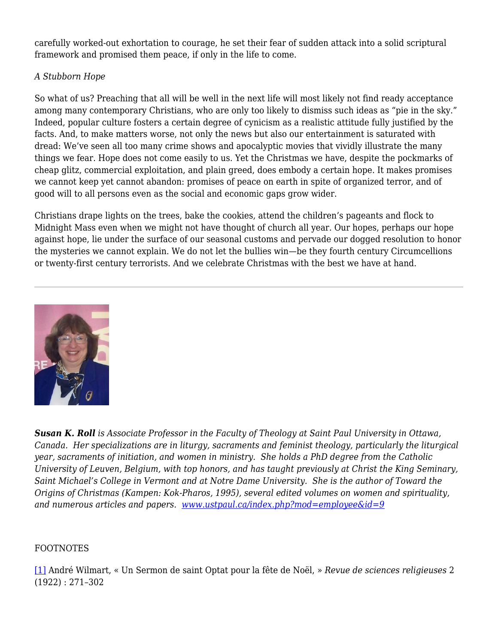carefully worked-out exhortation to courage, he set their fear of sudden attack into a solid scriptural framework and promised them peace, if only in the life to come.

## *A Stubborn Hope*

So what of us? Preaching that all will be well in the next life will most likely not find ready acceptance among many contemporary Christians, who are only too likely to dismiss such ideas as "pie in the sky." Indeed, popular culture fosters a certain degree of cynicism as a realistic attitude fully justified by the facts. And, to make matters worse, not only the news but also our entertainment is saturated with dread: We've seen all too many crime shows and apocalyptic movies that vividly illustrate the many things we fear. Hope does not come easily to us. Yet the Christmas we have, despite the pockmarks of cheap glitz, commercial exploitation, and plain greed, does embody a certain hope. It makes promises we cannot keep yet cannot abandon: promises of peace on earth in spite of organized terror, and of good will to all persons even as the social and economic gaps grow wider.

Christians drape lights on the trees, bake the cookies, attend the children's pageants and flock to Midnight Mass even when we might not have thought of church all year. Our hopes, perhaps our hope against hope, lie under the surface of our seasonal customs and pervade our dogged resolution to honor the mysteries we cannot explain. We do not let the bullies win—be they fourth century Circumcellions or twenty-first century terrorists. And we celebrate Christmas with the best we have at hand.



*Susan K. Roll is Associate Professor in the Faculty of Theology at Saint Paul University in Ottawa, Canada. Her specializations are in liturgy, sacraments and feminist theology, particularly the liturgical year, sacraments of initiation, and women in ministry. She holds a PhD degree from the Catholic University of Leuven, Belgium, with top honors, and has taught previously at Christ the King Seminary, Saint Michael's College in Vermont and at Notre Dame University. She is the author of Toward the Origins of Christmas (Kampen: Kok-Pharos, 1995), several edited volumes on women and spirituality, and numerous articles and papers. www.ustpaul.ca/index.php?mod=employee&id=9*

## FOOTNOTES

[1] André Wilmart, « Un Sermon de saint Optat pour la fête de Noël, » *Revue de sciences religieuses* 2 (1922) : 271–302